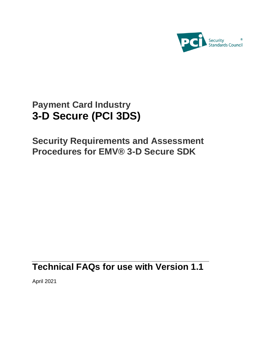

# **Payment Card Industry 3-D Secure (PCI 3DS)**

**Security Requirements and Assessment Procedures for EMV® 3-D Secure SDK**

## **Technical FAQs for use with Version 1.1**

April 2021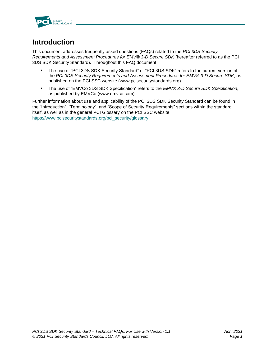

### **Introduction**

This document addresses frequently asked questions (FAQs) related to the *PCI 3DS Security Requirements and Assessment Procedures for EMV® 3-D Secure SDK* (hereafter referred to as the PCI 3DS SDK Security Standard). Throughout this FAQ document:

- The use of "PCI 3DS SDK Security Standard" or "PCI 3DS SDK" refers to the current version of the *PCI 3DS Security Requirements and Assessment Procedures for EMV® 3-D Secure SDK*, as published on the PCI SSC website [\(www.pcisecuritystandards.org\)](http://www.pcisecuritystandards.org/).
- The use of "EMVCo 3DS SDK Specification" refers to the *EMV® 3-D Secure SDK Specification*,  $\blacksquare$ as published by EMVCo [\(www.emvco.com\)](http://www.emvco.com/).

Further information about use and applicability of the PCI 3DS SDK Security Standard can be found in the "Introduction", "Terminology", and "Scope of Security Requirements" sections within the standard itself, as well as in the general PCI Glossary on the PCI SSC website: [https://www.pcisecuritystandards.org/pci\\_security/glossary.](https://www.pcisecuritystandards.org/pci_security/glossary)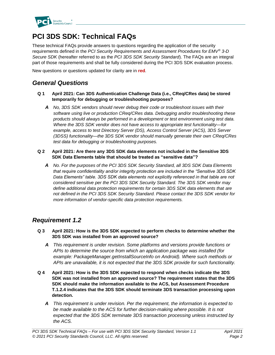

## **PCI 3DS SDK: Technical FAQs**

These technical FAQs provide answers to questions regarding the application of the security requirements defined in the *PCI Security Requirements and Assessment Procedures for EMV® 3-D Secure SDK* (hereafter referred to as the *PCI 3DS SDK Security Standard*). The FAQs are an integral part of those requirements and shall be fully considered during the PCI 3DS SDK evaluation process.

New questions or questions updated for clarity are in **red**.

### *General Questions*

- **Q 1 April 2021: Can 3DS Authentication Challenge Data (i.e., CReq/CRes data) be stored temporarily for debugging or troubleshooting purposes?**
	- *A No, 3DS SDK vendors should never debug their code or troubleshoot issues with their software using live or production CReq/CRes data. Debugging and/or troubleshooting these products should always be performed in a development or test environment using test data. Where the 3DS SDK vendor does not have access to appropriate test functionality—for example, access to test Directory Server (DS), Access Control Server (ACS), 3DS Server (3DSS) functionality—the 3DS SDK vendor should manually generate their own CReq/CRes test data for debugging or troubleshooting purposes.*

#### **Q 2 April 2021: Are there any 3DS SDK data elements not included in the Sensitive 3DS SDK Data Elements table that should be treated as "sensitive data"?**

*A No. For the purposes of the PCI 3DS SDK Security Standard, all 3DS SDK Data Elements that require confidentiality and/or integrity protection are included in the "Sensitive 3DS SDK Data Elements" table. 3DS SDK data elements not explicitly referenced in that table are not considered sensitive per the PCI 3DS SDK Security Standard. The 3DS SDK vendor may define additional data protection requirements for certain 3DS SDK data elements that are not defined in the PCI 3DS SDK Security Standard. Please contact the 3DS SDK vendor for more information of vendor-specific data protection requirements.*

#### *Requirement 1.2*

- **Q 3 April 2021: How is the 3DS SDK expected to perform checks to determine whether the 3DS SDK was installed from an approved source?**
	- *A This requirement is under revision. Some platforms and versions provide functions or APIs to determine the source from which an application package was installed (for example: PackageManager.getInstallSourceInfo on Android). Where such methods or APIs are unavailable, it is not expected that the 3DS SDK provide for such functionality.*
- **Q 4 April 2021: How is the 3DS SDK expected to respond when checks indicate the 3DS SDK was not installed from an approved source? The requirement states that the 3DS SDK should make the information available to the ACS, but Assessment Procedure T.1.2.4 indicates that the 3DS SDK should terminate 3DS transaction processing upon detection.**
	- *A This requirement is under revision. Per the requirement, the information is expected to be made available to the ACS for further decision-making where possible. It is not expected that the 3DS SDK terminate 3DS transaction processing unless instructed by the ACS.*